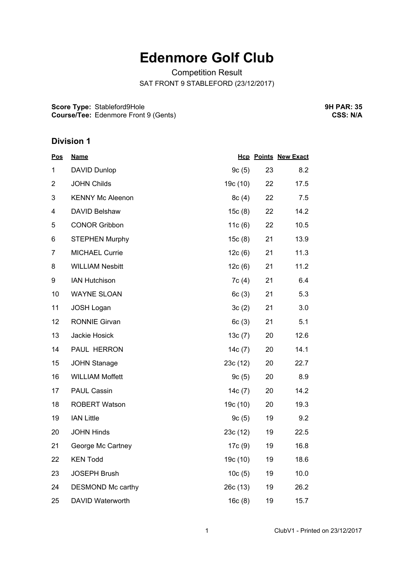# **Edenmore Golf Club**

Competition Result SAT FRONT 9 STABLEFORD (23/12/2017)

**Score Type:** Stableford9Hole **Course/Tee:** Edenmore Front 9 (Gents) **9H PAR: 35 CSS: N/A**

#### **Division 1**

| <u>Pos</u>     | <b>Name</b>             |           |    | <b>Hcp Points New Exact</b> |
|----------------|-------------------------|-----------|----|-----------------------------|
| 1              | DAVID Dunlop            | 9c(5)     | 23 | 8.2                         |
| $\overline{2}$ | <b>JOHN Childs</b>      | 19c (10)  | 22 | 17.5                        |
| 3              | <b>KENNY Mc Aleenon</b> | 8c(4)     | 22 | 7.5                         |
| 4              | DAVID Belshaw           | 15c(8)    | 22 | 14.2                        |
| 5              | <b>CONOR Gribbon</b>    | 11 $c(6)$ | 22 | 10.5                        |
| 6              | <b>STEPHEN Murphy</b>   | 15c(8)    | 21 | 13.9                        |
| 7              | <b>MICHAEL Currie</b>   | 12c(6)    | 21 | 11.3                        |
| 8              | <b>WILLIAM Nesbitt</b>  | 12c(6)    | 21 | 11.2                        |
| 9              | <b>IAN Hutchison</b>    | 7c(4)     | 21 | 6.4                         |
| 10             | <b>WAYNE SLOAN</b>      | 6c(3)     | 21 | 5.3                         |
| 11             | <b>JOSH Logan</b>       | 3c(2)     | 21 | 3.0                         |
| 12             | <b>RONNIE Girvan</b>    | 6c(3)     | 21 | 5.1                         |
| 13             | Jackie Hosick           | 13c(7)    | 20 | 12.6                        |
| 14             | PAUL HERRON             | 14 $c(7)$ | 20 | 14.1                        |
| 15             | <b>JOHN Stanage</b>     | 23c(12)   | 20 | 22.7                        |
| 16             | <b>WILLIAM Moffett</b>  | 9c(5)     | 20 | 8.9                         |
| 17             | <b>PAUL Cassin</b>      | 14 $c(7)$ | 20 | 14.2                        |
| 18             | <b>ROBERT Watson</b>    | 19c (10)  | 20 | 19.3                        |
| 19             | <b>IAN Little</b>       | 9c(5)     | 19 | 9.2                         |
| 20             | <b>JOHN Hinds</b>       | 23c(12)   | 19 | 22.5                        |
| 21             | George Mc Cartney       | 17c(9)    | 19 | 16.8                        |
| 22             | <b>KEN Todd</b>         | 19c (10)  | 19 | 18.6                        |
| 23             | <b>JOSEPH Brush</b>     | 10c(5)    | 19 | 10.0                        |
| 24             | DESMOND Mc carthy       | 26c(13)   | 19 | 26.2                        |
| 25             | <b>DAVID Waterworth</b> | 16c(8)    | 19 | 15.7                        |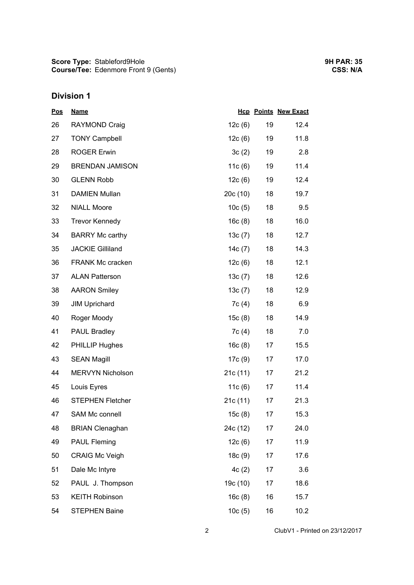**Score Type: Course/Tee:** Stableford9Hole Edenmore Front 9 (Gents)

## **Division 1**

| Pos | <b>Name</b>             |           |    | <b>Hcp Points New Exact</b> |
|-----|-------------------------|-----------|----|-----------------------------|
| 26  | <b>RAYMOND Craig</b>    | 12c(6)    | 19 | 12.4                        |
| 27  | <b>TONY Campbell</b>    | 12c(6)    | 19 | 11.8                        |
| 28  | <b>ROGER Erwin</b>      | 3c(2)     | 19 | 2.8                         |
| 29  | <b>BRENDAN JAMISON</b>  | 11 $c(6)$ | 19 | 11.4                        |
| 30  | <b>GLENN Robb</b>       | 12c(6)    | 19 | 12.4                        |
| 31  | <b>DAMIEN Mullan</b>    | 20c(10)   | 18 | 19.7                        |
| 32  | <b>NIALL Moore</b>      | 10c(5)    | 18 | 9.5                         |
| 33  | <b>Trevor Kennedy</b>   | 16c(8)    | 18 | 16.0                        |
| 34  | <b>BARRY Mc carthy</b>  | 13c(7)    | 18 | 12.7                        |
| 35  | <b>JACKIE Gilliland</b> | 14c(7)    | 18 | 14.3                        |
| 36  | <b>FRANK Mc cracken</b> | 12c(6)    | 18 | 12.1                        |
| 37  | <b>ALAN Patterson</b>   | 13c(7)    | 18 | 12.6                        |
| 38  | <b>AARON Smiley</b>     | 13c(7)    | 18 | 12.9                        |
| 39  | <b>JIM Uprichard</b>    | 7c(4)     | 18 | 6.9                         |
| 40  | Roger Moody             | 15c(8)    | 18 | 14.9                        |
| 41  | <b>PAUL Bradley</b>     | 7c(4)     | 18 | 7.0                         |
| 42  | <b>PHILLIP Hughes</b>   | 16c(8)    | 17 | 15.5                        |
| 43  | <b>SEAN Magill</b>      | 17c(9)    | 17 | 17.0                        |
| 44  | <b>MERVYN Nicholson</b> | 21c(11)   | 17 | 21.2                        |
| 45  | Louis Eyres             | 11 $c(6)$ | 17 | 11.4                        |
| 46  | <b>STEPHEN Fletcher</b> | 21c(11)   | 17 | 21.3                        |
| 47  | <b>SAM Mc connell</b>   | 15c(8)    | 17 | 15.3                        |
| 48  | <b>BRIAN Clenaghan</b>  | 24c (12)  | 17 | 24.0                        |
| 49  | <b>PAUL Fleming</b>     | 12c(6)    | 17 | 11.9                        |
| 50  | <b>CRAIG Mc Veigh</b>   | 18c(9)    | 17 | 17.6                        |
| 51  | Dale Mc Intyre          | 4c(2)     | 17 | 3.6                         |
| 52  | PAUL J. Thompson        | 19c (10)  | 17 | 18.6                        |
| 53  | <b>KEITH Robinson</b>   | 16c(8)    | 16 | 15.7                        |
| 54  | <b>STEPHEN Baine</b>    | 10c(5)    | 16 | 10.2                        |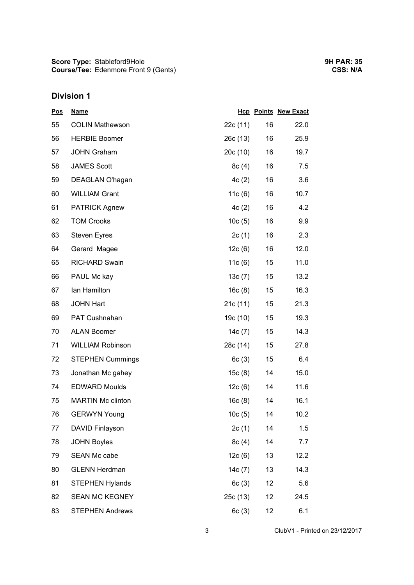**Score Type: Course/Tee:** Stableford9Hole Edenmore Front 9 (Gents)

## **Division 1**

| <u>Pos</u> | <b>Name</b>              |           |        | <b>Hcp Points New Exact</b> |
|------------|--------------------------|-----------|--------|-----------------------------|
| 55         | <b>COLIN Mathewson</b>   | 22c(11)   | 16     | 22.0                        |
| 56         | <b>HERBIE Boomer</b>     | 26c(13)   | 16     | 25.9                        |
| 57         | <b>JOHN Graham</b>       | 20c(10)   | 16     | 19.7                        |
| 58         | <b>JAMES Scott</b>       | 8c(4)     | 16     | 7.5                         |
| 59         | DEAGLAN O'hagan          | 4c(2)     | 16     | 3.6                         |
| 60         | <b>WILLIAM Grant</b>     | 11 $c(6)$ | 16     | 10.7                        |
| 61         | <b>PATRICK Agnew</b>     | 4c(2)     | 16     | 4.2                         |
| 62         | <b>TOM Crooks</b>        | 10c(5)    | 16     | 9.9                         |
| 63         | <b>Steven Eyres</b>      | 2c(1)     | 16     | 2.3                         |
| 64         | Gerard Magee             | 12c(6)    | 16     | 12.0                        |
| 65         | <b>RICHARD Swain</b>     | 11 $c(6)$ | 15     | 11.0                        |
| 66         | PAUL Mc kay              | 13c(7)    | 15     | 13.2                        |
| 67         | Ian Hamilton             | 16c(8)    | 15     | 16.3                        |
| 68         | <b>JOHN Hart</b>         | 21c(11)   | 15     | 21.3                        |
| 69         | PAT Cushnahan            | 19c (10)  | 15     | 19.3                        |
| 70         | <b>ALAN Boomer</b>       | 14 $c(7)$ | 15     | 14.3                        |
| 71         | <b>WILLIAM Robinson</b>  | 28c (14)  | $15\,$ | 27.8                        |
| 72         | <b>STEPHEN Cummings</b>  | 6c(3)     | 15     | 6.4                         |
| 73         | Jonathan Mc gahey        | 15c(8)    | 14     | 15.0                        |
| 74         | <b>EDWARD Moulds</b>     | 12c(6)    | 14     | 11.6                        |
| 75         | <b>MARTIN Mc clinton</b> | 16c(8)    | 14     | 16.1                        |
| 76         | <b>GERWYN Young</b>      | 10c(5)    | 14     | 10.2                        |
| 77         | DAVID Finlayson          | 2c(1)     | 14     | 1.5                         |
| 78         | <b>JOHN Boyles</b>       | 8c(4)     | 14     | 7.7                         |
| 79         | <b>SEAN Mc cabe</b>      | 12c(6)    | 13     | 12.2                        |
| 80         | <b>GLENN Herdman</b>     | 14c(7)    | 13     | 14.3                        |
| 81         | <b>STEPHEN Hylands</b>   | 6c(3)     | 12     | 5.6                         |
| 82         | <b>SEAN MC KEGNEY</b>    | 25c (13)  | 12     | 24.5                        |
| 83         | <b>STEPHEN Andrews</b>   | 6c(3)     | 12     | 6.1                         |